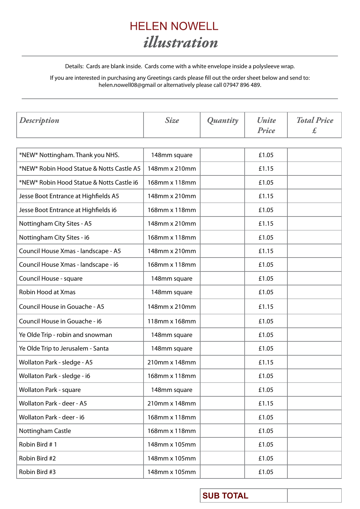

Details: Cards are blank inside. Cards come with a white envelope inside a polysleeve wrap.

If you are interested in purchasing any Greetings cards please fill out the order sheet below and send to: helen.nowell08@gmail or alternatively please call 07947 896 489.

| <b>Description</b>                        | <b>Size</b>   | Quantity | Unite<br>Price | <b>Total Price</b><br>$\pounds$ |
|-------------------------------------------|---------------|----------|----------------|---------------------------------|
|                                           |               |          |                |                                 |
| *NEW* Nottingham. Thank you NHS.          | 148mm square  |          | £1.05          |                                 |
| *NEW* Robin Hood Statue & Notts Castle A5 | 148mm x 210mm |          | £1.15          |                                 |
| *NEW* Robin Hood Statue & Notts Castle i6 | 168mm x 118mm |          | £1.05          |                                 |
| Jesse Boot Entrance at Highfields A5      | 148mm x 210mm |          | £1.15          |                                 |
| Jesse Boot Entrance at Highfields i6      | 168mm x 118mm |          | £1.05          |                                 |
| Nottingham City Sites - A5                | 148mm x 210mm |          | £1.15          |                                 |
| Nottingham City Sites - i6                | 168mm x 118mm |          | £1.05          |                                 |
| Council House Xmas - landscape - A5       | 148mm x 210mm |          | £1.15          |                                 |
| Council House Xmas - landscape - i6       | 168mm x 118mm |          | £1.05          |                                 |
| Council House - square                    | 148mm square  |          | £1.05          |                                 |
| Robin Hood at Xmas                        | 148mm square  |          | £1.05          |                                 |
| Council House in Gouache - A5             | 148mm x 210mm |          | £1.15          |                                 |
| Council House in Gouache - i6             | 118mm x 168mm |          | £1.05          |                                 |
| Ye Olde Trip - robin and snowman          | 148mm square  |          | £1.05          |                                 |
| Ye Olde Trip to Jerusalem - Santa         | 148mm square  |          | £1.05          |                                 |
| Wollaton Park - sledge - A5               | 210mm x 148mm |          | £1.15          |                                 |
| Wollaton Park - sledge - i6               | 168mm x 118mm |          | £1.05          |                                 |
| Wollaton Park - square                    | 148mm square  |          | £1.05          |                                 |
| Wollaton Park - deer - A5                 | 210mm x 148mm |          | £1.15          |                                 |
| Wollaton Park - deer - i6                 | 168mm x 118mm |          | £1.05          |                                 |
| Nottingham Castle                         | 168mm x 118mm |          | £1.05          |                                 |
| Robin Bird #1                             | 148mm x 105mm |          | £1.05          |                                 |
| Robin Bird #2                             | 148mm x 105mm |          | £1.05          |                                 |
| Robin Bird #3                             | 148mm x 105mm |          | £1.05          |                                 |

**SUB TOTAL**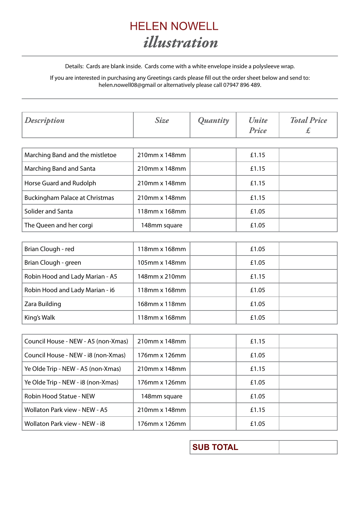

Details: Cards are blank inside. Cards come with a white envelope inside a polysleeve wrap.

If you are interested in purchasing any Greetings cards please fill out the order sheet below and send to: helen.nowell08@gmail or alternatively please call 07947 896 489.

| <b>Description</b>                    | <b>Size</b>   | Quantity | Unite<br>Price | <b>Total Price</b><br>£ |
|---------------------------------------|---------------|----------|----------------|-------------------------|
|                                       |               |          |                |                         |
| Marching Band and the mistletoe       | 210mm x 148mm |          | £1.15          |                         |
| Marching Band and Santa               | 210mm x 148mm |          | £1.15          |                         |
| Horse Guard and Rudolph               | 210mm x 148mm |          | £1.15          |                         |
| <b>Buckingham Palace at Christmas</b> | 210mm x 148mm |          | £1.15          |                         |
| Solider and Santa                     | 118mm x 168mm |          | £1.05          |                         |
| The Queen and her corgi               | 148mm square  |          | £1.05          |                         |

| Brian Clough - red              | 118mm x 168mm | £1.05 |  |
|---------------------------------|---------------|-------|--|
| Brian Clough - green            | 105mm x 148mm | £1.05 |  |
| Robin Hood and Lady Marian - A5 | 148mm x 210mm | £1.15 |  |
| Robin Hood and Lady Marian - i6 | 118mm x 168mm | £1.05 |  |
| Zara Building                   | 168mm x 118mm | £1.05 |  |
| King's Walk                     | 118mm x 168mm | £1.05 |  |

| Council House - NEW - A5 (non-Xmas)  | 210mm x 148mm | £1.15 |  |
|--------------------------------------|---------------|-------|--|
| Council House - NEW - i8 (non-Xmas)  | 176mm x 126mm | £1.05 |  |
| Ye Olde Trip - NEW - A5 (non-Xmas)   | 210mm x 148mm | £1.15 |  |
| Ye Olde Trip - NEW - i8 (non-Xmas)   | 176mm x 126mm | £1.05 |  |
| Robin Hood Statue - NEW              | 148mm square  | £1.05 |  |
| <b>Wollaton Park view - NEW - A5</b> | 210mm x 148mm | £1.15 |  |
| Wollaton Park view - NEW - i8        | 176mm x 126mm | £1.05 |  |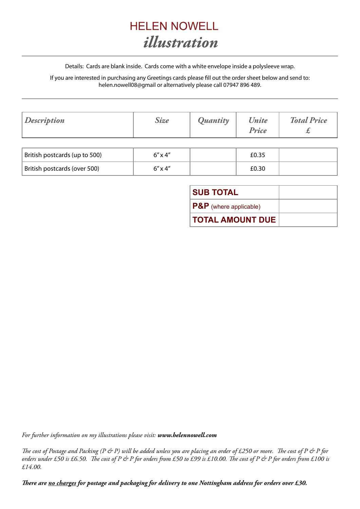

Details: Cards are blank inside. Cards come with a white envelope inside a polysleeve wrap.

If you are interested in purchasing any Greetings cards please fill out the order sheet below and send to: helen.nowell08@gmail or alternatively please call 07947 896 489.

| <b>Description</b>            | <b>Size</b>      | Quantity | <b><i>Unite</i></b><br>Price | <b>Total Price</b> |
|-------------------------------|------------------|----------|------------------------------|--------------------|
|                               |                  |          |                              |                    |
| British postcards (up to 500) | $6'' \times 4''$ |          | £0.35                        |                    |
| British postcards (over 500)  | $6'' \times 4''$ |          | £0.30                        |                    |

| <b>SUB TOTAL</b>           |  |
|----------------------------|--|
| $ P\&P$ (where applicable) |  |
| <b>TOTAL AMOUNT DUE</b>    |  |

*For further information on my illustrations please visit: www.helennowell.com*

*The cost of Postage and Packing (P & P) will be added unless you are placing an order of £250 or more. The cost of P & P for orders under £50 is £6.50. The cost of P & P for orders from £50 to £99 is £10.00. The cost of P & P for orders from £100 is £14.00.*

*There are no charges for postage and packaging for delivery to one Nottingham address for orders over £30.*